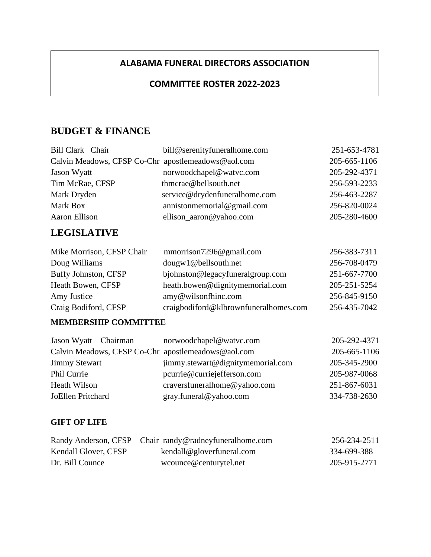### **ALABAMA FUNERAL DIRECTORS ASSOCIATION**

### **COMMITTEE ROSTER 2022-2023**

# **BUDGET & FINANCE**

F

| Bill Clark Chair                                   | bill@serenityfuneralhome.com  | 251-653-4781 |
|----------------------------------------------------|-------------------------------|--------------|
| Calvin Meadows, CFSP Co-Chr apostlemeadows@aol.com |                               | 205-665-1106 |
| Jason Wyatt                                        | norwoodchapel@watvc.com       | 205-292-4371 |
| Tim McRae, CFSP                                    | thmcrae@bellsouth.net         | 256-593-2233 |
| Mark Dryden                                        | service@drydenfuneralhome.com | 256-463-2287 |
| Mark Box                                           | annistonmemorial@gmail.com    | 256-820-0024 |
| Aaron Ellison                                      | ellison_aaron@yahoo.com       | 205-280-4600 |
|                                                    |                               |              |

# **LEGISLATIVE**

| Mike Morrison, CFSP Chair | mmorrison7296@gmail.com               | 256-383-7311 |
|---------------------------|---------------------------------------|--------------|
| Doug Williams             | dougw1@bellsouth.net                  | 256-708-0479 |
| Buffy Johnston, CFSP      | bjohnston@legacyfuneralgroup.com      | 251-667-7700 |
| Heath Bowen, CFSP         | heath.bowen@dignitymemorial.com       | 205-251-5254 |
| Amy Justice               | $\text{amy@wilsonfhinc.com}$          | 256-845-9150 |
| Craig Bodiford, CFSP      | craigbodiford@klbrownfuneralhomes.com | 256-435-7042 |

### **MEMBERSHIP COMMITTEE**

| Jason Wyatt – Chairman                             | norwoodchapel@watvc.com           | 205-292-4371 |
|----------------------------------------------------|-----------------------------------|--------------|
| Calvin Meadows, CFSP Co-Chr apostlemeadows@aol.com |                                   | 205-665-1106 |
| <b>Jimmy Stewart</b>                               | jimmy.stewart@dignitymemorial.com | 205-345-2900 |
| Phil Currie                                        | pcurrie@curriejefferson.com       | 205-987-0068 |
| <b>Heath Wilson</b>                                | craversfuneralhome@yahoo.com      | 251-867-6031 |
| JoEllen Pritchard                                  | gray.funeral@yahoo.com            | 334-738-2630 |

#### **GIFT OF LIFE**

|                      | Randy Anderson, CFSP – Chair randy@radneyfuneralhome.com | 256-234-2511 |
|----------------------|----------------------------------------------------------|--------------|
| Kendall Glover, CFSP | kendall@gloverfuneral.com                                | 334-699-388  |
| Dr. Bill Counce      | wcounce@centurytel.net                                   | 205-915-2771 |